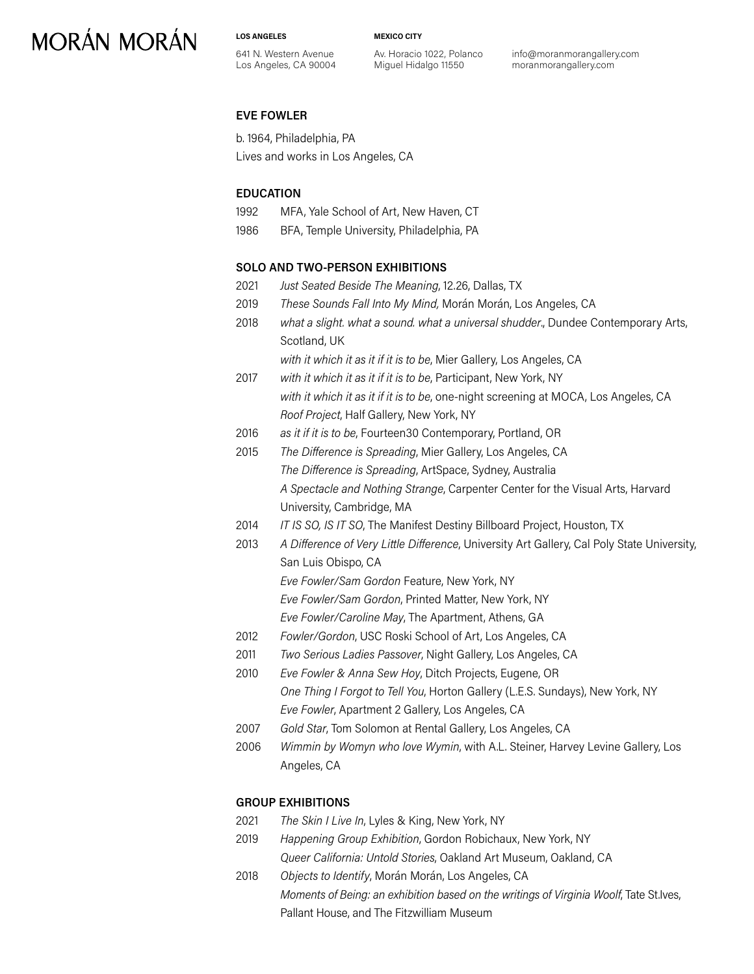**LOS ANGELES**

**MEXICO CITY**

641 N. Western Avenue Los Angeles, CA 90004 Av. Horacio 1022, Polanco Miguel Hidalgo 11550

info@moranmorangallery.com moranmorangallery.com

### **EVE FOWLER**

b. 1964, Philadelphia, PA Lives and works in Los Angeles, CA

### **EDUCATION**

- 1992 MFA, Yale School of Art, New Haven, CT
- 1986 BFA, Temple University, Philadelphia, PA

### **SOLO AND TWO-PERSON EXHIBITIONS**

- 2021 *Just Seated Beside The Meaning*, 12.26, Dallas, TX
- 2019 *These Sounds Fall Into My Mind,* Morán Morán, Los Angeles, CA
- 2018 *what a slight. what a sound. what a universal shudder*., Dundee Contemporary Arts, Scotland, UK
	- *with it which it as it if it is to be*, Mier Gallery, Los Angeles, CA
- 2017 *with it which it as it if it is to be*, Participant, New York, NY *with it which it as it if it is to be*, one-night screening at MOCA, Los Angeles, CA *Roof Project*, Half Gallery, New York, NY
- 2016 *as it if it is to be*, Fourteen30 Contemporary, Portland, OR
- 2015 *The Difference is Spreading*, Mier Gallery, Los Angeles, CA *The Difference is Spreading*, ArtSpace, Sydney, Australia *A Spectacle and Nothing Strange*, Carpenter Center for the Visual Arts, Harvard University, Cambridge, MA
- 2014 *IT IS SO, IS IT SO*, The Manifest Destiny Billboard Project, Houston, TX
- 2013 *A Difference of Very Little Difference*, University Art Gallery, Cal Poly State University, San Luis Obispo, CA
	- *Eve Fowler/Sam Gordon* Feature, New York, NY
	- *Eve Fowler/Sam Gordon*, Printed Matter, New York, NY
	- *Eve Fowler/Caroline May*, The Apartment, Athens, GA
- 2012 *Fowler/Gordon*, USC Roski School of Art, Los Angeles, CA
- 2011 *Two Serious Ladies Passover*, Night Gallery, Los Angeles, CA
- 2010 *Eve Fowler & Anna Sew Hoy*, Ditch Projects, Eugene, OR *One Thing I Forgot to Tell You*, Horton Gallery (L.E.S. Sundays), New York, NY *Eve Fowler*, Apartment 2 Gallery, Los Angeles, CA
- 2007 *Gold Star*, Tom Solomon at Rental Gallery, Los Angeles, CA
- 2006 *Wimmin by Womyn who love Wymin*, with A.L. Steiner, Harvey Levine Gallery, Los Angeles, CA

### **GROUP EXHIBITIONS**

- 2021 *The Skin I Live In*, Lyles & King, New York, NY
- 2019 *Happening Group Exhibition*, Gordon Robichaux, New York, NY *Queer California: Untold Stories*, Oakland Art Museum, Oakland, CA
- 2018 *Objects to Identify*, Morán Morán, Los Angeles, CA *Moments of Being: an exhibition based on the writings of Virginia Woolf*, Tate St.Ives, Pallant House, and The Fitzwilliam Museum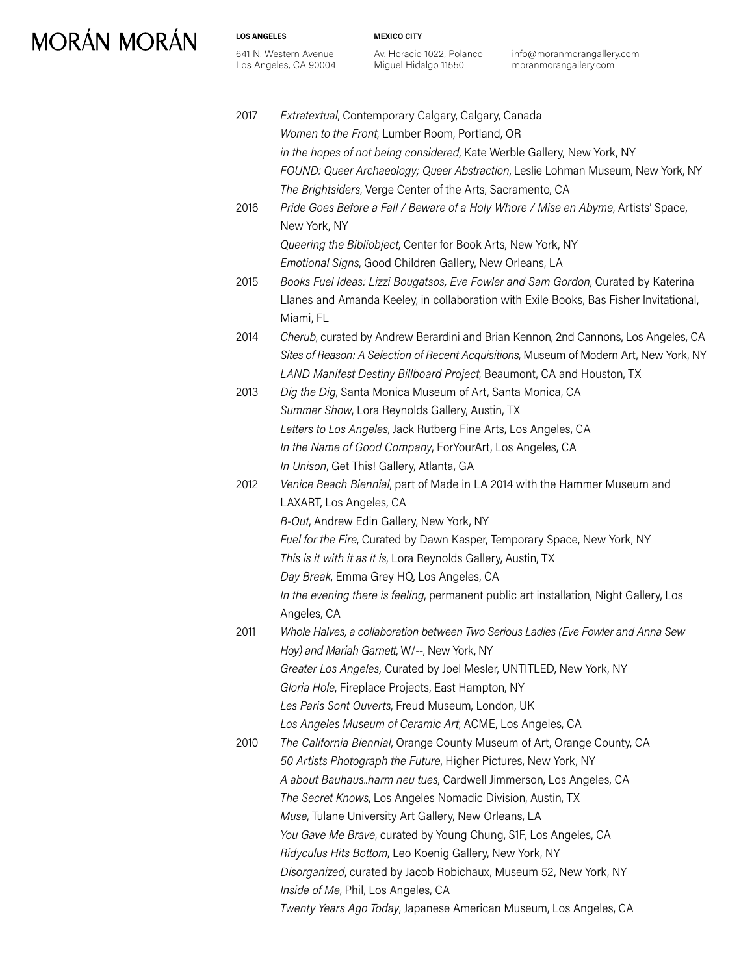**LOS ANGELES**

641 N. Western Avenue Los Angeles, CA 90004 **MEXICO CITY**

Av. Horacio 1022, Polanco Miguel Hidalgo 11550

info@moranmorangallery.com moranmorangallery.com

2017 *Extratextual*, Contemporary Calgary, Calgary, Canada *Women to the Front*, Lumber Room, Portland, OR *in the hopes of not being considered*, Kate Werble Gallery, New York, NY *FOUND: Queer Archaeology; Queer Abstraction*, Leslie Lohman Museum, New York, NY *The Brightsiders*, Verge Center of the Arts, Sacramento, CA 2016 *Pride Goes Before a Fall / Beware of a Holy Whore / Mise en Abyme*, Artists' Space, New York, NY *Queering the Bibliobject*, Center for Book Arts, New York, NY *Emotional Signs*, Good Children Gallery, New Orleans, LA 2015 *Books Fuel Ideas: Lizzi Bougatsos, Eve Fowler and Sam Gordon*, Curated by Katerina Llanes and Amanda Keeley, in collaboration with Exile Books, Bas Fisher Invitational, Miami, FL 2014 *Cherub*, curated by Andrew Berardini and Brian Kennon, 2nd Cannons, Los Angeles, CA *Sites of Reason: A Selection of Recent Acquisitions*, Museum of Modern Art, New York, NY *LAND Manifest Destiny Billboard Project*, Beaumont, CA and Houston, TX 2013 *Dig the Dig*, Santa Monica Museum of Art, Santa Monica, CA *Summer Show*, Lora Reynolds Gallery, Austin, TX *Letters to Los Angeles*, Jack Rutberg Fine Arts, Los Angeles, CA *In the Name of Good Company*, ForYourArt, Los Angeles, CA *In Unison*, Get This! Gallery, Atlanta, GA 2012 *Venice Beach Biennial*, part of Made in LA 2014 with the Hammer Museum and LAXART, Los Angeles, CA *B-Out*, Andrew Edin Gallery, New York, NY *Fuel for the Fire*, Curated by Dawn Kasper, Temporary Space, New York, NY *This is it with it as it is*, Lora Reynolds Gallery, Austin, TX *Day Break*, Emma Grey HQ, Los Angeles, CA *In the evening there is feeling*, permanent public art installation, Night Gallery, Los Angeles, CA 2011 *Whole Halves, a collaboration between Two Serious Ladies (Eve Fowler and Anna Sew Hoy) and Mariah Garnett*, W/--, New York, NY *Greater Los Angeles,* Curated by Joel Mesler, UNTITLED, New York, NY *Gloria Hole*, Fireplace Projects, East Hampton, NY *Les Paris Sont Ouverts*, Freud Museum, London, UK *Los Angeles Museum of Ceramic Art*, ACME, Los Angeles, CA 2010 *The California Biennial*, Orange County Museum of Art, Orange County, CA *50 Artists Photograph the Future*, Higher Pictures, New York, NY *A about Bauhaus..harm neu tues*, Cardwell Jimmerson, Los Angeles, CA *The Secret Knows*, Los Angeles Nomadic Division, Austin, TX *Muse*, Tulane University Art Gallery, New Orleans, LA *You Gave Me Brave*, curated by Young Chung, S1F, Los Angeles, CA *Ridyculus Hits Bottom*, Leo Koenig Gallery, New York, NY *Disorganized*, curated by Jacob Robichaux, Museum 52, New York, NY *Inside of Me*, Phil, Los Angeles, CA *Twenty Years Ago Today*, Japanese American Museum, Los Angeles, CA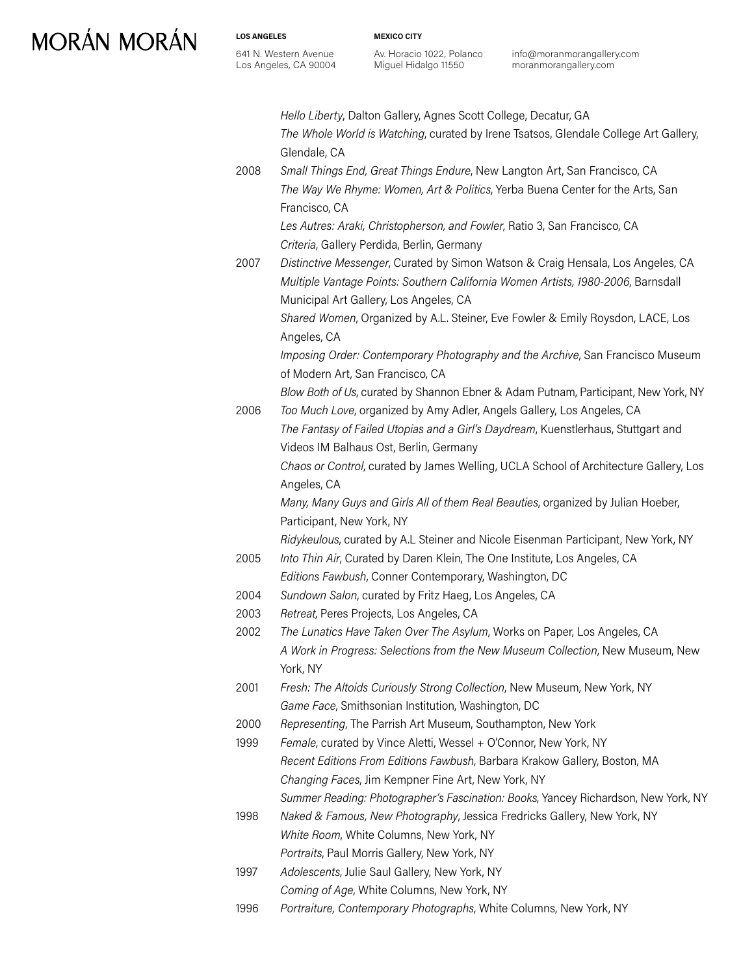**LOS ANGELES** 641 N. Western Avenue Los Angeles, CA 90004 **MEXICO CITY**

Av. Horacio 1022, Polanco Miguel Hidalgo 11550

info@moranmorangallery.com moranmorangallery.com

|      | Hello Liberty, Dalton Gallery, Agnes Scott College, Decatur, GA                      |
|------|--------------------------------------------------------------------------------------|
|      | The Whole World is Watching, curated by Irene Tsatsos, Glendale College Art Gallery, |
|      | Glendale, CA                                                                         |
| 2008 | Small Things End, Great Things Endure, New Langton Art, San Francisco, CA            |
|      | The Way We Rhyme: Women, Art & Politics, Yerba Buena Center for the Arts, San        |
|      | Francisco, CA                                                                        |
|      | Les Autres: Araki, Christopherson, and Fowler, Ratio 3, San Francisco, CA            |
|      | Criteria, Gallery Perdida, Berlin, Germany                                           |
| 2007 | Distinctive Messenger, Curated by Simon Watson & Craig Hensala, Los Angeles, CA      |
|      | Multiple Vantage Points: Southern California Women Artists, 1980-2006, Barnsdall     |
|      | Municipal Art Gallery, Los Angeles, CA                                               |
|      | Shared Women, Organized by A.L. Steiner, Eve Fowler & Emily Roysdon, LACE, Los       |
|      | Angeles, CA                                                                          |
|      | Imposing Order: Contemporary Photography and the Archive, San Francisco Museum       |
|      | of Modern Art, San Francisco, CA                                                     |
|      | Blow Both of Us, curated by Shannon Ebner & Adam Putnam, Participant, New York, NY   |
| 2006 | Too Much Love, organized by Amy Adler, Angels Gallery, Los Angeles, CA               |
|      | The Fantasy of Failed Utopias and a Girl's Daydream, Kuenstlerhaus, Stuttgart and    |
|      | Videos IM Balhaus Ost, Berlin, Germany                                               |
|      | Chaos or Control, curated by James Welling, UCLA School of Architecture Gallery, Los |
|      | Angeles, CA                                                                          |
|      | Many, Many Guys and Girls All of them Real Beauties, organized by Julian Hoeber,     |
|      | Participant, New York, NY                                                            |
|      | Ridykeulous, curated by A.L Steiner and Nicole Eisenman Participant, New York, NY    |
| 2005 | Into Thin Air, Curated by Daren Klein, The One Institute, Los Angeles, CA            |
|      | Editions Fawbush, Conner Contemporary, Washington, DC                                |
| 2004 | Sundown Salon, curated by Fritz Haeg, Los Angeles, CA                                |
| 2003 | Retreat, Peres Projects, Los Angeles, CA                                             |
| 2002 | The Lunatics Have Taken Over The Asylum, Works on Paper, Los Angeles, CA             |
|      | A Work in Progress: Selections from the New Museum Collection, New Museum, New       |
|      | York, NY                                                                             |
| 2001 | Fresh: The Altoids Curiously Strong Collection, New Museum, New York, NY             |
|      | Game Face, Smithsonian Institution, Washington, DC                                   |
| 2000 | Representing, The Parrish Art Museum, Southampton, New York                          |
| 1999 | Female, curated by Vince Aletti, Wessel + O'Connor, New York, NY                     |
|      | Recent Editions From Editions Fawbush, Barbara Krakow Gallery, Boston, MA            |
|      | Changing Faces, Jim Kempner Fine Art, New York, NY                                   |
|      | Summer Reading: Photographer's Fascination: Books, Yancey Richardson, New York, NY   |
| 1998 | Naked & Famous, New Photography, Jessica Fredricks Gallery, New York, NY             |
|      | White Room, White Columns, New York, NY                                              |
|      | Portraits, Paul Morris Gallery, New York, NY                                         |
| 1997 | Adolescents, Julie Saul Gallery, New York, NY                                        |
|      | Coming of Age, White Columns, New York, NY                                           |

1996 *Portraiture, Contemporary Photographs*, White Columns, New York, NY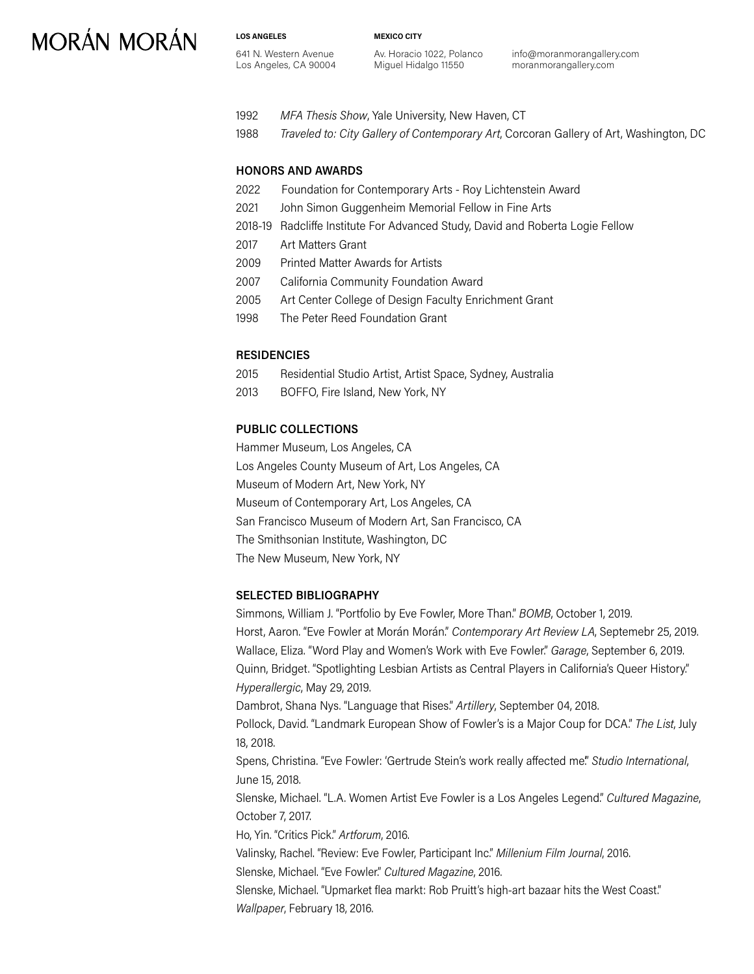**LOS ANGELES** 641 N. Western Avenue Los Angeles, CA 90004 **MEXICO CITY**

Av. Horacio 1022, Polanco Miguel Hidalgo 11550

info@moranmorangallery.com moranmorangallery.com

- 1992 *MFA Thesis Show*, Yale University, New Haven, CT
- 1988 *Traveled to: City Gallery of Contemporary Art*, Corcoran Gallery of Art, Washington, DC

#### **HONORS AND AWARDS**

- 2022 Foundation for Contemporary Arts Roy Lichtenstein Award
- 2021 John Simon Guggenheim Memorial Fellow in Fine Arts
- 2018-19 Radcliffe Institute For Advanced Study, David and Roberta Logie Fellow
- 2017 Art Matters Grant
- 2009 Printed Matter Awards for Artists
- 2007 California Community Foundation Award
- 2005 Art Center College of Design Faculty Enrichment Grant
- 1998 The Peter Reed Foundation Grant

#### **RESIDENCIES**

- 2015 Residential Studio Artist, Artist Space, Sydney, Australia
- 2013 BOFFO, Fire Island, New York, NY

#### **PUBLIC COLLECTIONS**

Hammer Museum, Los Angeles, CA Los Angeles County Museum of Art, Los Angeles, CA Museum of Modern Art, New York, NY Museum of Contemporary Art, Los Angeles, CA San Francisco Museum of Modern Art, San Francisco, CA The Smithsonian Institute, Washington, DC The New Museum, New York, NY

#### **SELECTED BIBLIOGRAPHY**

Simmons, William J. "Portfolio by Eve Fowler, More Than." *BOMB*, October 1, 2019. Horst, Aaron. "Eve Fowler at Morán Morán." *Contemporary Art Review LA*, Septemebr 25, 2019. Wallace, Eliza. "Word Play and Women's Work with Eve Fowler." *Garage*, September 6, 2019. Quinn, Bridget. "Spotlighting Lesbian Artists as Central Players in California's Queer History." *Hyperallergic*, May 29, 2019. Dambrot, Shana Nys. "Language that Rises." *Artillery*, September 04, 2018. Pollock, David. "Landmark European Show of Fowler's is a Major Coup for DCA." *The List*, July 18, 2018. Spens, Christina. "Eve Fowler: 'Gertrude Stein's work really affected me'." *Studio International*, June 15, 2018. Slenske, Michael. "L.A. Women Artist Eve Fowler is a Los Angeles Legend." *Cultured Magazine*, October 7, 2017. Ho, Yin. "Critics Pick." *Artforum*, 2016. Valinsky, Rachel. "Review: Eve Fowler, Participant Inc." *Millenium Film Journal*, 2016. Slenske, Michael. "Eve Fowler." *Cultured Magazine*, 2016. Slenske, Michael. "Upmarket flea markt: Rob Pruitt's high-art bazaar hits the West Coast." *Wallpaper*, February 18, 2016.